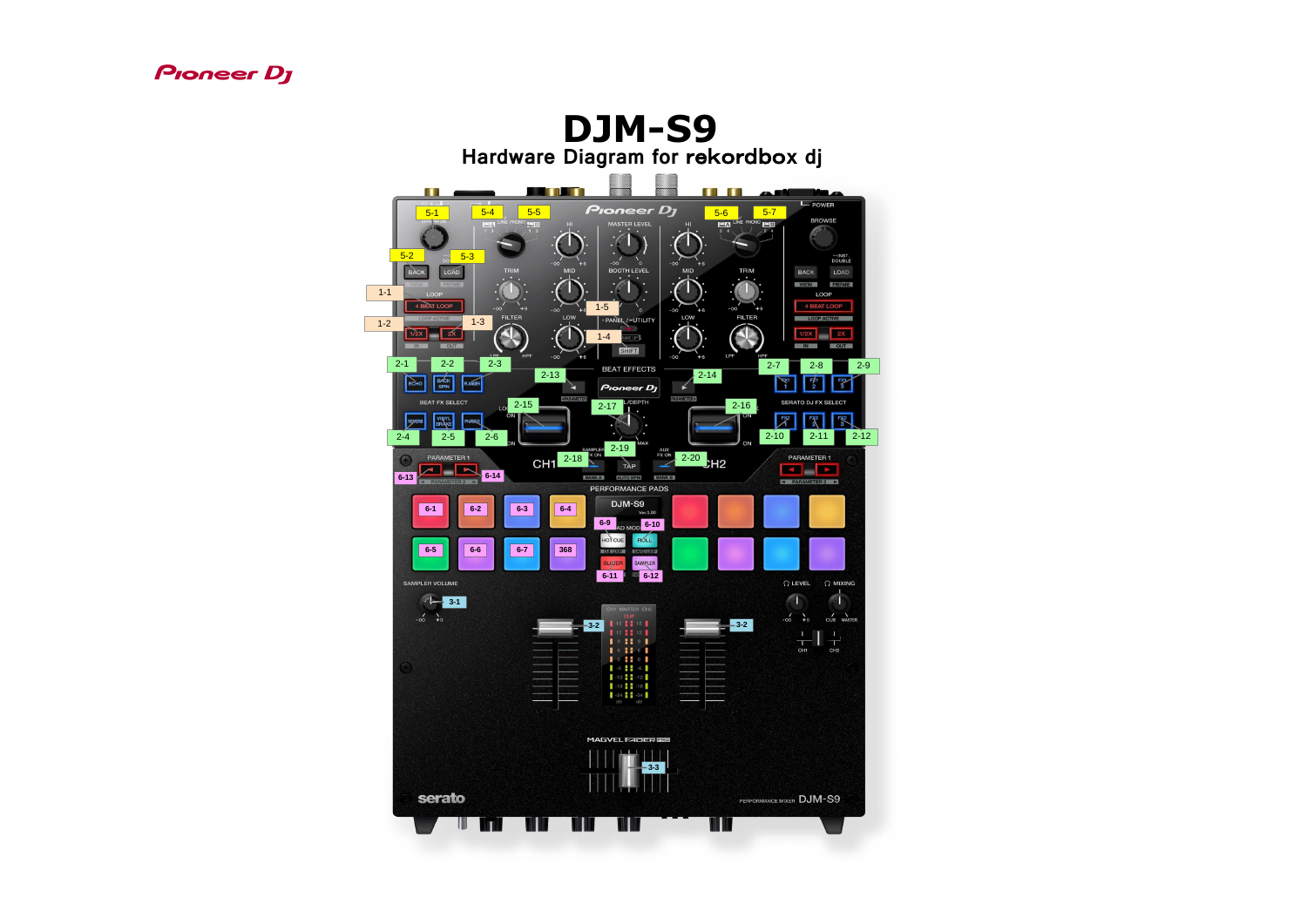

## **DJM-S9 Hardware Diagram for** rekordbo**x dj THE ALL**  $\blacksquare$ **TANK AND STATE**  $\begin{array}{|c|c|c|c|c|c|}\n\hline\n 5-1 & \hline\n 5-4 & \hline\n 5-5 & \hline\n\end{array}$  Proneer DJ  $\begin{array}{|c|c|c|c|}\n\hline\n 5-6 & \hline\n 5-7 & \hline\n 5-7 & \hline\n 5-7 & \hline\n 5-8 & \hline\n 5-7 & \hline\n 5-9 & \hline\n 5-1 & \hline\n 5-1 & \hline\n 5-2 & \hline\n 5-3 & \hline\n 5-4 & \hline\n 5-4 & \hline\n 5-5 & \hline\n 5-6$ **EXI<sup>LINE PHONO**</sup> MASTER LEVEL 5-2 5-3  $\bigcap_{BACK}$ **BOOTH LEVEL MID MID TRIM TRIM BACK** 1-1 LOOP **BEAT LOOP** 1-5 **FILTER FILTER**  $\overline{\mathcal{L}}$ LOW  $\cdot$  PANE /-UTILITY **LOOP ACTIVE** 1-3 1-2  $\overline{1/2X}$ 1-4 IN OUT  $\blacksquare$  $\blacktriangledown$ LPF SHIFT  $-\infty$  $LPF$ HPF **HPF**  $-\infty$  $+6$  $2-1$  2-2 2-3 2-13 BEAT EFFECTS 2-14  $\begin{array}{|c|}\n\hline\n\text{BdGK} \\
\text{SPIN}\n\end{array}$ ECHO **FLANGER** Pioneer Dj BEAT FX SELECT 2-15 2-17 PEPTH ON I **PHASER**  $2-4$  2-5 2-6 2-19 **SAMPLER AUX** CH1 2-18 XON TAP FXON 2-20 H2 PARAMETER 1 **6-13 144 6-14** BANK A AUTO BPM BANK B PERFORMANCE PADS **DJM-S9 6-1 6-2 6-3 6-4** Ver.1.00 **6-9 6-10** HOTCUE ROLL **6-5 6-6 6-6 6-7 6-7 6-7 6-8** CUE LOOP SAVED LOOP **SLICER** SAMPLER **6-11 6-12** SAMPLER VOLUME **1** 3-1 CH1 MASTER CH2  $-\infty$   $+0$ **CLIP 3-2 3-2**  $9$   $12$   $9$  $161161$ CH<sub>1</sub> **Contract of the Contract of the Contract of the Contract of the Contract of the Contract of the Contract of the Contract of the Contract of the Contract of the Contract of the Contract of the Contract of the Contract of t**  $101101$ **Commercial Commercial CONTRACTOR Continued by Continued State**  $\blacksquare$  -6  $\blacksquare$  -6  $\blacksquare$ <u>san sa mga sangayong 200</u><br>Manazarta sa mga sangayong 200 <u>e provincia</u>  $\blacksquare$  -12  $\blacksquare$  -12 -- $\blacksquare$  -18  $\blacksquare$  -18  $\blacksquare$ <u>The Communication of the Communication of the Communication of the Communication of the Communication of the Communication of the Communication of the Communication of the Communication of the Communication of the Communi</u> سيب **Communication**  $\begin{array}{|c|c|c|c|c|}\n\hline\n & -24 & & -24 \\
\hline\n\text{dB} & & \text{dB}\n\end{array}$ **MAGVEL FADER BRD 3-3**serato